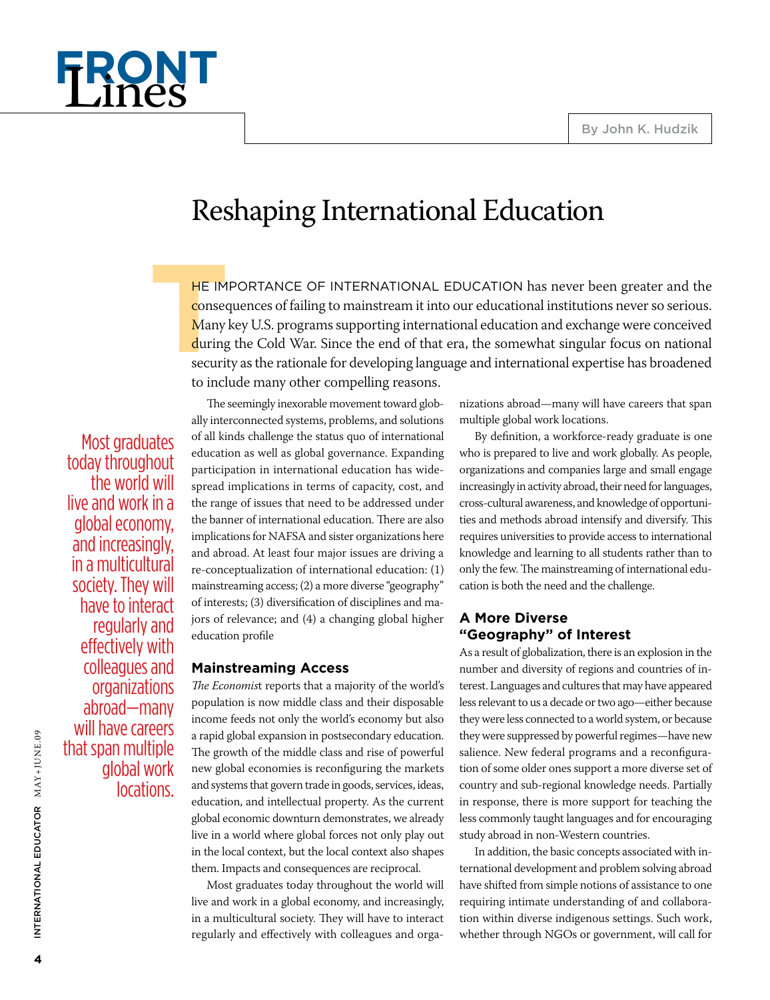

# Reshaping International Education

**THE IMPORTA**<br> **THE IMPORTA**<br> **THE IMPORTA**<br> **THE IMPORTABLE INCO**<br> **THE IMPORTABLE INCO**<br> **THE IMPORTABLE INCO**<br> **THE IMPORTABLE INCO**<br> **THE IMPORTABLE INCO**<br> **THE IMPORTABLE INCO** HE IMPORTANCE OF INTERNATIONAL EDUCATION has never been greater and the consequences of failing to mainstream it into our educational institutions never so serious. Many key U.S. programs supporting international education and exchange were conceived during the Cold War. Since the end of that era, the somewhat singular focus on national security as the rationale for developing language and international expertise has broadened to include many other compelling reasons.

Most graduates today throughout the world will live and work in a global economy, and increasingly, in a multicultural society. They will have to interact regularly and effectively with colleagues and organizations abroad—many will have careers that span multiple global work locations.

The seemingly inexorable movement toward globally interconnected systems, problems, and solutions of all kinds challenge the status quo of international education as well as global governance. Expanding participation in international education has widespread implications in terms of capacity, cost, and the range of issues that need to be addressed under the banner of international education. There are also implications for NAFSA and sister organizations here and abroad. At least four major issues are driving a re-conceptualization of international education: (1) mainstreaming access; (2) a more diverse "geography" of interests; (3) diversification of disciplines and majors of relevance; and (4) a changing global higher education profile

## **Mainstreaming Access**

*The Economis*t reports that a majority of the world's population is now middle class and their disposable income feeds not only the world's economy but also a rapid global expansion in postsecondary education. The growth of the middle class and rise of powerful new global economies is reconfiguring the markets and systems that govern trade in goods, services, ideas, education, and intellectual property. As the current global economic downturn demonstrates, we already live in a world where global forces not only play out in the local context, but the local context also shapes them. Impacts and consequences are reciprocal.

Most graduates today throughout the world will live and work in a global economy, and increasingly, in a multicultural society. They will have to interact regularly and effectively with colleagues and organizations abroad—many will have careers that span multiple global work locations.

By definition, a workforce-ready graduate is one who is prepared to live and work globally. As people, organizations and companies large and small engage increasingly in activity abroad, their need for languages, cross-cultural awareness, and knowledge of opportunities and methods abroad intensify and diversify. This requires universities to provide access to international knowledge and learning to all students rather than to only the few. The mainstreaming of international education is both the need and the challenge.

# **A More Diverse "Geography" of Interest**

As a result of globalization, there is an explosion in the number and diversity of regions and countries of interest. Languages and cultures that may have appeared less relevant to us a decade or two ago—either because they were less connected to a world system, or because they were suppressed by powerful regimes—have new salience. New federal programs and a reconfiguration of some older ones support a more diverse set of country and sub-regional knowledge needs. Partially in response, there is more support for teaching the less commonly taught languages and for encouraging study abroad in non-Western countries.

In addition, the basic concepts associated with international development and problem solving abroad have shifted from simple notions of assistance to one requiring intimate understanding of and collaboration within diverse indigenous settings. Such work, whether through NGOs or government, will call for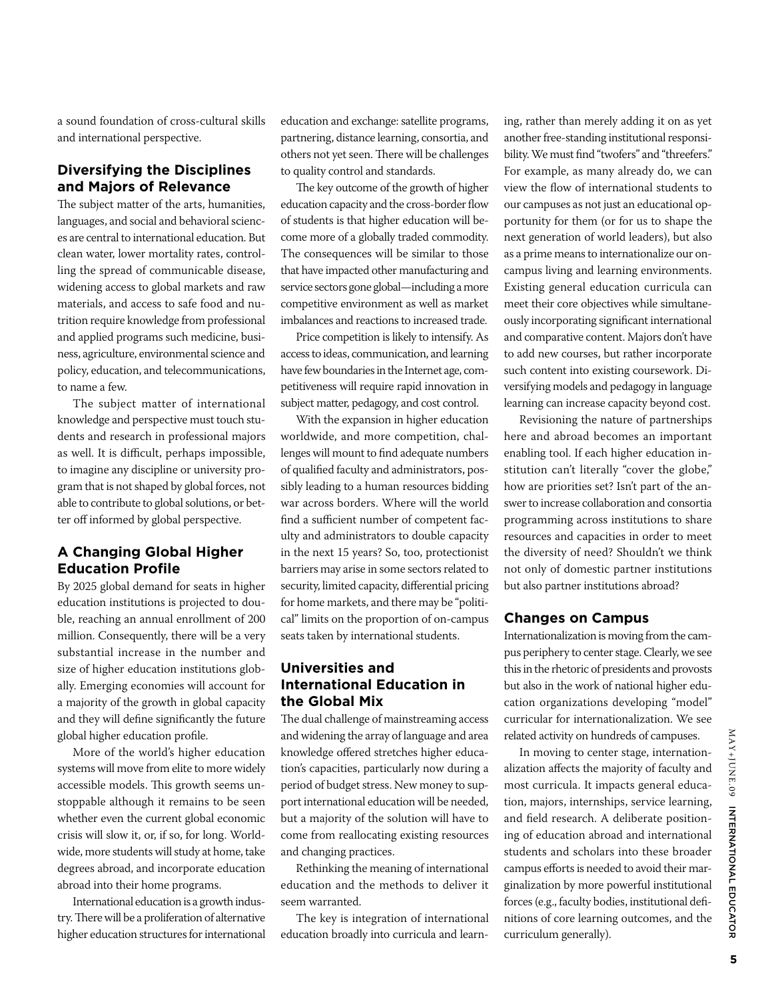a sound foundation of cross-cultural skills and international perspective.

# **Diversifying the Disciplines and Majors of Relevance**

The subject matter of the arts, humanities, languages, and social and behavioral sciences are central to international education. But clean water, lower mortality rates, controlling the spread of communicable disease, widening access to global markets and raw materials, and access to safe food and nutrition require knowledge from professional and applied programs such medicine, business, agriculture, environmental science and policy, education, and telecommunications, to name a few.

The subject matter of international knowledge and perspective must touch students and research in professional majors as well. It is difficult, perhaps impossible, to imagine any discipline or university program that is not shaped by global forces, not able to contribute to global solutions, or better off informed by global perspective.

# **A Changing Global Higher Education Profile**

By 2025 global demand for seats in higher education institutions is projected to double, reaching an annual enrollment of 200 million. Consequently, there will be a very substantial increase in the number and size of higher education institutions globally. Emerging economies will account for a majority of the growth in global capacity and they will define significantly the future global higher education profile.

More of the world's higher education systems will move from elite to more widely accessible models. This growth seems unstoppable although it remains to be seen whether even the current global economic crisis will slow it, or, if so, for long. Worldwide, more students will study at home, take degrees abroad, and incorporate education abroad into their home programs.

International education is a growth industry. There will be a proliferation of alternative higher education structures for international education and exchange: satellite programs, partnering, distance learning, consortia, and others not yet seen. There will be challenges to quality control and standards.

The key outcome of the growth of higher education capacity and the cross-border flow of students is that higher education will become more of a globally traded commodity. The consequences will be similar to those that have impacted other manufacturing and service sectors gone global—including a more competitive environment as well as market imbalances and reactions to increased trade.

Price competition is likely to intensify. As access to ideas, communication, and learning have few boundaries in the Internet age, competitiveness will require rapid innovation in subject matter, pedagogy, and cost control.

With the expansion in higher education worldwide, and more competition, challenges will mount to find adequate numbers of qualified faculty and administrators, possibly leading to a human resources bidding war across borders. Where will the world find a sufficient number of competent faculty and administrators to double capacity in the next 15 years? So, too, protectionist barriers may arise in some sectors related to security, limited capacity, differential pricing for home markets, and there may be "political" limits on the proportion of on-campus seats taken by international students.

# **Universities and International Education in the Global Mix**

The dual challenge of mainstreaming access and widening the array of language and area knowledge offered stretches higher education's capacities, particularly now during a period of budget stress. New money to support international education will be needed, but a majority of the solution will have to come from reallocating existing resources and changing practices.

Rethinking the meaning of international education and the methods to deliver it seem warranted.

The key is integration of international education broadly into curricula and learning, rather than merely adding it on as yet another free-standing institutional responsibility. We must find "twofers" and "threefers." For example, as many already do, we can view the flow of international students to our campuses as not just an educational opportunity for them (or for us to shape the next generation of world leaders), but also as a prime means to internationalize our oncampus living and learning environments. Existing general education curricula can meet their core objectives while simultaneously incorporating significant international and comparative content. Majors don't have to add new courses, but rather incorporate such content into existing coursework. Diversifying models and pedagogy in language learning can increase capacity beyond cost.

Revisioning the nature of partnerships here and abroad becomes an important enabling tool. If each higher education institution can't literally "cover the globe," how are priorities set? Isn't part of the answer to increase collaboration and consortia programming across institutions to share resources and capacities in order to meet the diversity of need? Shouldn't we think not only of domestic partner institutions but also partner institutions abroad?

# **Changes on Campus**

Internationalization is moving from the campus periphery to center stage. Clearly, we see this in the rhetoric of presidents and provosts but also in the work of national higher education organizations developing "model" curricular for internationalization. We see related activity on hundreds of campuses.

In moving to center stage, internationalization affects the majority of faculty and most curricula. It impacts general education, majors, internships, service learning, and field research. A deliberate positioning of education abroad and international students and scholars into these broader campus efforts is needed to avoid their marginalization by more powerful institutional forces (e.g., faculty bodies, institutional definitions of core learning outcomes, and the curriculum generally).